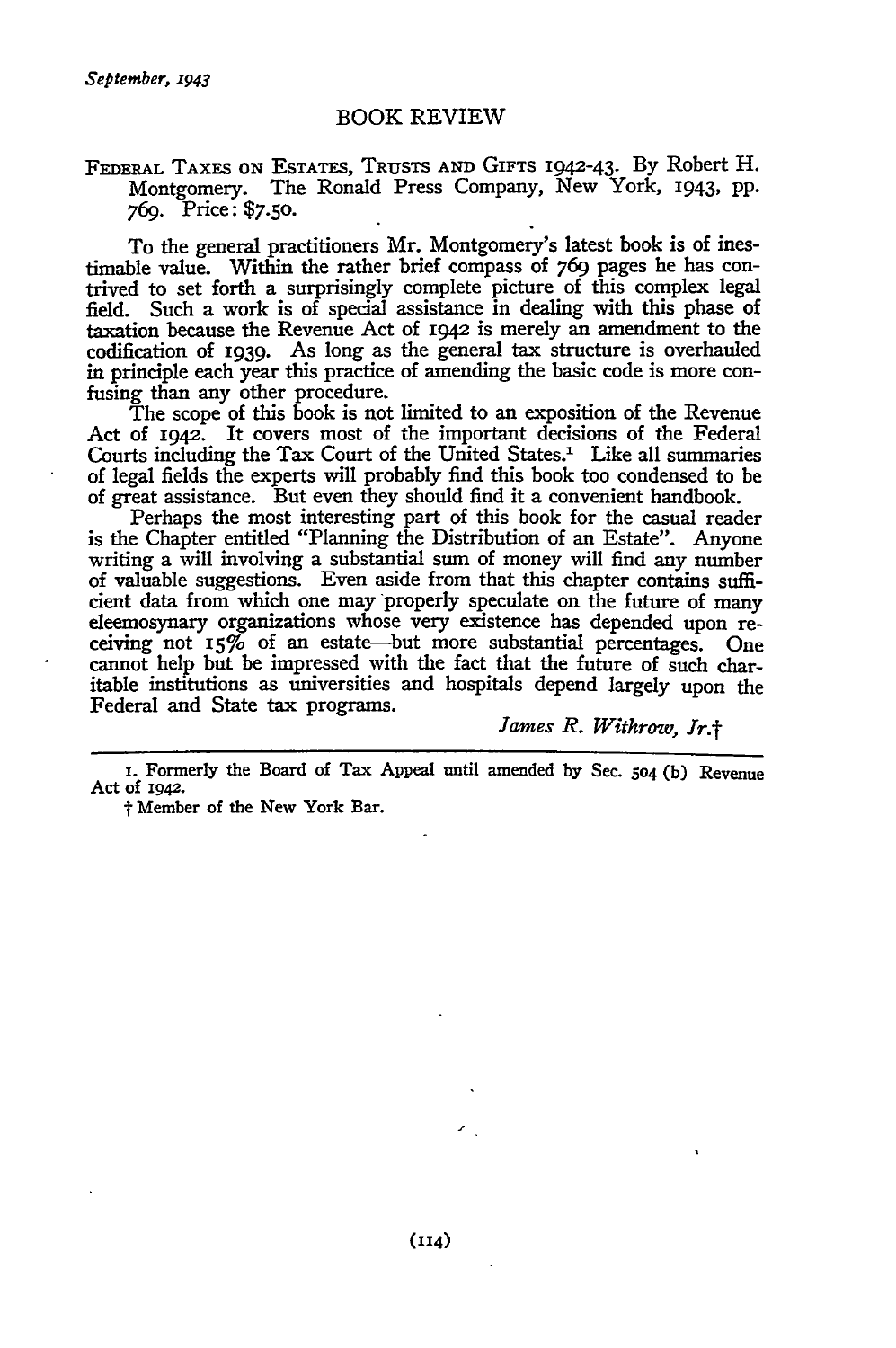### BOOK REVIEW

### FEDERAL TAXES ON ESTATES, TRUSTS **AND** GIFTS 1942-43. By Robert H. Montgomery. The Ronald Press Company, New York, 1943, pp. *769.* Price: **\$7.50.**

To the general practitioners Mr. Montgomery's latest book is of inestimable value. Within the rather brief compass of *769* pages he has contrived to set forth a surprisingly complete picture of this complex legal field. Such a work is of special assistance in dealing with this phase of taxation because the Revenue Act of 1942 is merely an amendment to the codification of 1939. As long as the general tax structure is overhauled in principle each year this practice of amending the basic code is more confusing than any other procedure.

The scope of this book is not limited to an exposition of the Revenue Act of 1942. It covers most of the important decisions of the Federal Courts including the Tax Court of the United States. $<sup>1</sup>$  Like all summaries</sup> of legal fields the experts will probably find this book too condensed to be of great assistance. But even they should find it a convenient handbook.

Perhaps the most interesting part of this book for the casual reader is the Chapter entitled "Planning the Distribution of an Estate". Anyone writing a will involving a substantial sum of money will find any number of valuable suggestions. Even aside from that this chapter contains suffi**cient** data from which one may properly speculate on the future of many eleemosynary organizations whose very existence has depended upon receiving not **I5%'** of an estate-but more substantial percentages. One cannot help but **be** impressed with the fact that the future of such charitable institutions as universities and hospitals depend largely upon the Federal and State tax programs.

*James R. Withrow, Jr.f*

i. Formerly the Board of Tax Appeal until amended **by** Sec. **504** (b) Revenue Act of 1942.

t Member of the New York Bar.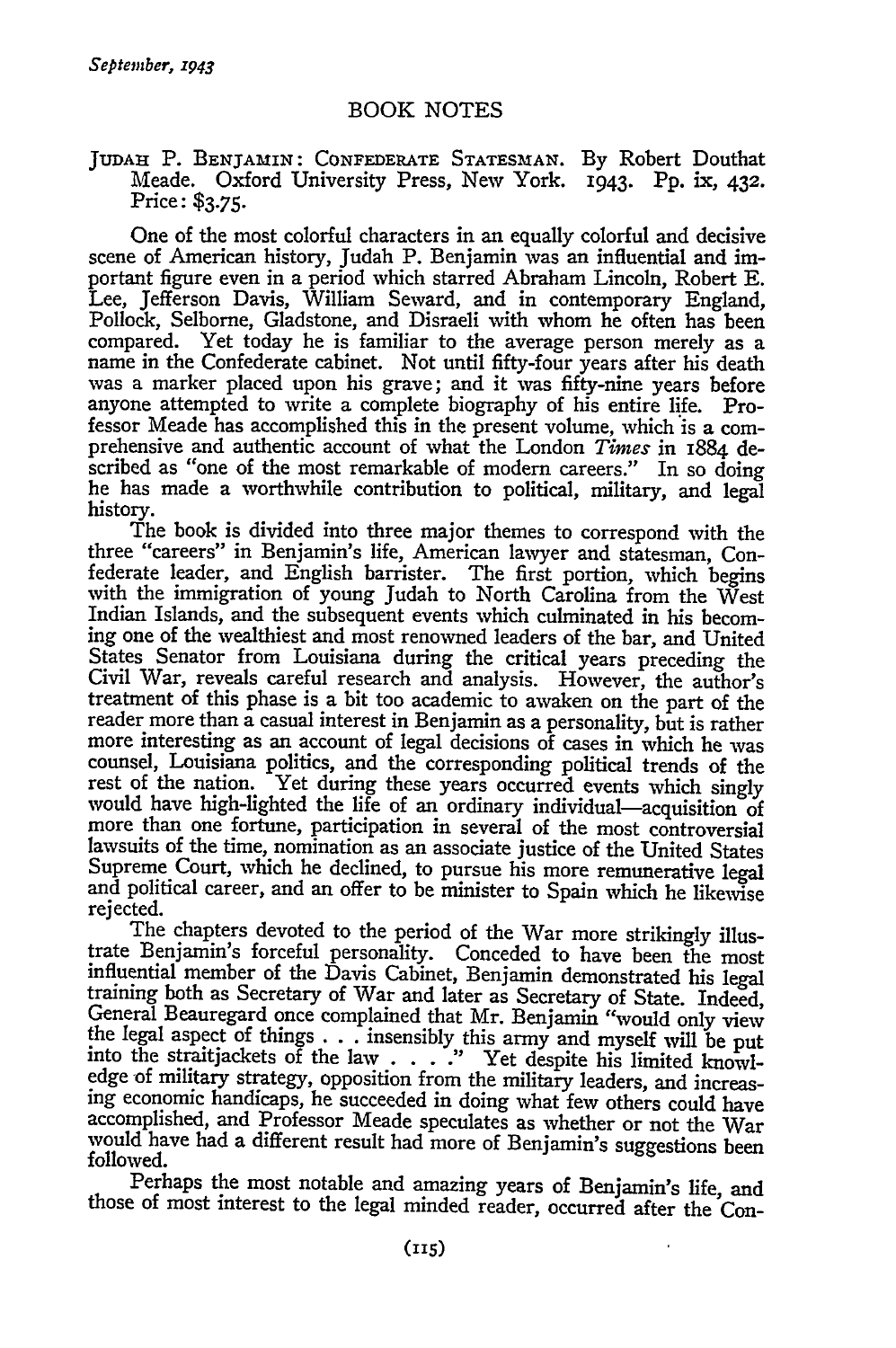### **JUDAH** P. BENJAMIN: CONFEDERATE STATESMAN. By Robert Douthat Meade. Oxford University Press, New York. **1943.** Pp. ix, **432.** Price: **\$3.75.**

One of the most colorful characters in an equally colorful and decisive scene of American history, Judah P. Benjamin was an influential and important figure even in a period which starred Abraham Lincoln, Robert E. Lee, Jefferson Davis, William Seward, and in contemporary England, Pollock, Selborne, Gladstone, and Disraeli with whom he often has been compared. Yet today he is familiar to the average person merely as a name in the Confederate cabinet. Not until fifty-four years after his death was a marker placed upon his grave; and it was fifty-nine years before anyone attempted to write a complete biography of his entire life. Professor Meade has accomplished this in the present volume, which is a comprehensive and authentic account of what the London *Times* in 1884 dehe has made a worthwhile contribution to political, military, and legal history.

The book is divided into three major themes to correspond with the three "careers" in Benjamin's life, American lawyer and statesman, Confederate leader, and English barrister. The first portion, which begins with the immigration of young Judah to North Carolina from the West Indian Islands, and the subsequent events which culminated in his becoming one of the wealthiest and most renowned leaders of the bar, and United States Senator from Louisiana during the critical years preceding the Civil War, reveals careful research and analysis. However, the author's treatment of this phase is a bit too academic to awaken on the part of the reader more than a casual interest in Benjamin as a personality, but is rather more interesting as an account of legal decisions of cases in which he was counsel, Louisiana politics, and the corresponding political trends of the rest of the nation. Yet during these years occurred events which singly would have high-lighted the life of an ordinary individual-acquisition of more than one fortune, participation in several of the most controversial lawsuits of the time, nomination as an associate justice of the United States Supreme Court, which he declined, to pursue his more remunerative legal and political career, and an offer to be minister to Spain which he likewise rejected.

The chapters devoted to the period of the War more strikingly illustrate Benjamin's forceful personality. Conceded to have been the most influential member of the Davis Cabinet, Benjamin demonstrated his legal training both as Secretary of War and later as Secretary of State. Indeed, General Beauregard once complained that Mr. Benjamin "would only view the legal aspect of things. **. .** insensibly this army and myself will be put into the straitjackets of the law . **. . ."** Yet despite his limited knowledge of military strategy, opposition from the military leaders, and increasing economic handicaps, he succeeded in doing what few others could have accomplished, and Professor Meade speculates as whether or not the War would have had a different result had more of Benjamin's suggestions been followed.

Perhaps the most notable and amazing years of Benjamin's life, and those of most interest to the legal minded reader, occurred after the Con-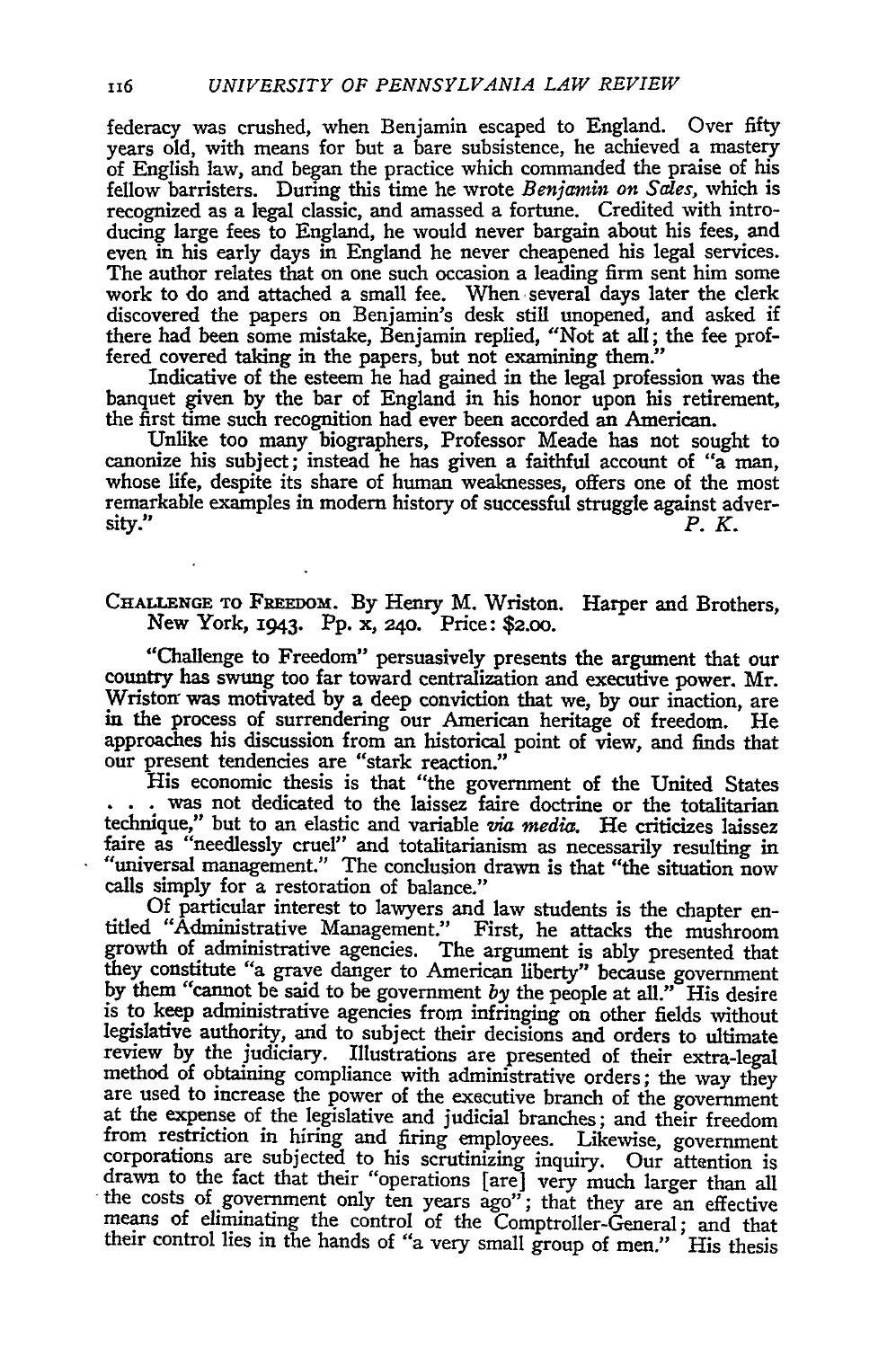federacy was crushed, when Benjamin escaped to England. Over fifty years old, with means for but a bare subsistence, he achieved a mastery of English law, and began the practice which commanded the praise of his fellow barristers. During this time he wrote *Benjamin on Sales,* which is recognized as a legal classic, and amassed a fortune. Credited with introducing large fees to England, he would never bargain about his fees, and even in his early days in England he never cheapened his legal services. The author relates that on one such occasion a leading firm sent him some work to do and attached a small fee. When several days later the clerk discovered the papers on Benjamin's desk still unopened, and asked if there had been some mistake, Benjamin replied, "Not at all; the fee proffered covered taking in the papers, but not examining them."

Indicative of the esteem he had gained in the legal profession was the banquet given by the bar of England in his honor upon his retirement, the first time such recognition had ever been accorded an American.

Unlike too many biographers, Professor Meade has not sought to canonize his subject; instead he has given a faithful account of "a man, whose life, despite its share of human weaknesses, offers one of the most remarkable examples in modem history of successful struggle against adver $s$ ity." **P.** 

## CHALLENGE TO FREEDOM. By Henry M. Wriston. Harper and Brothers, New York, 1943. PP. x, 240. Price: **\$2.o0.**

"Challenge to Freedom" persuasively presents the argument that our country has swung too far toward centralization and executive power. Mr. Wristor was motivated by a deep conviction that we, **by** our inaction, are in the process of surrendering our American heritage of freedom. He approaches his discussion from an historical point of view, and finds that our present tendencies are "stark reaction."

His economic thesis is that "the government of the United States **.** . was not dedicated to the laissez faire doctrine or the totalitarian technique," but to an elastic and variable *via media.* He criticizes laissez faire as "needlessly cruel" and totalitarianism as necessarily resulting in "universal management." The conclusion drawn is that "the situation now calls simply for a restoration of balance."

Of particular interest to lawyers and law students is the chapter en- titled "Administrative Management." First, he attacks the mushroom growth of administrative agencies. The argument is ably presented that they constitute "a grave danger to American liberty" because government by them "cannot be said to be government *by* the people at all." His desire is to keep administrative agencies from infringing on other fields without legislative authority, and to subject their decisions and orders to ultimate review by the judiciary. Illustrations are presented of their extra-legal method of obtaining compliance with administrative orders; the way they are used to increase the power of the executive branch of the government at the expense of the legislative and judicial branches; and their freedom from restriction in hiring and firing employees. Likewise, government corporations are subjected to his scrutinizing inquiry. Our attention is drawn to the fact that their "operations [are] very much larger than all the costs of government only ten years ago"; that they are an effective means of eliminating the control of the Comptroller-General; and that their control lies in the hands of "a very small group of men." His thesis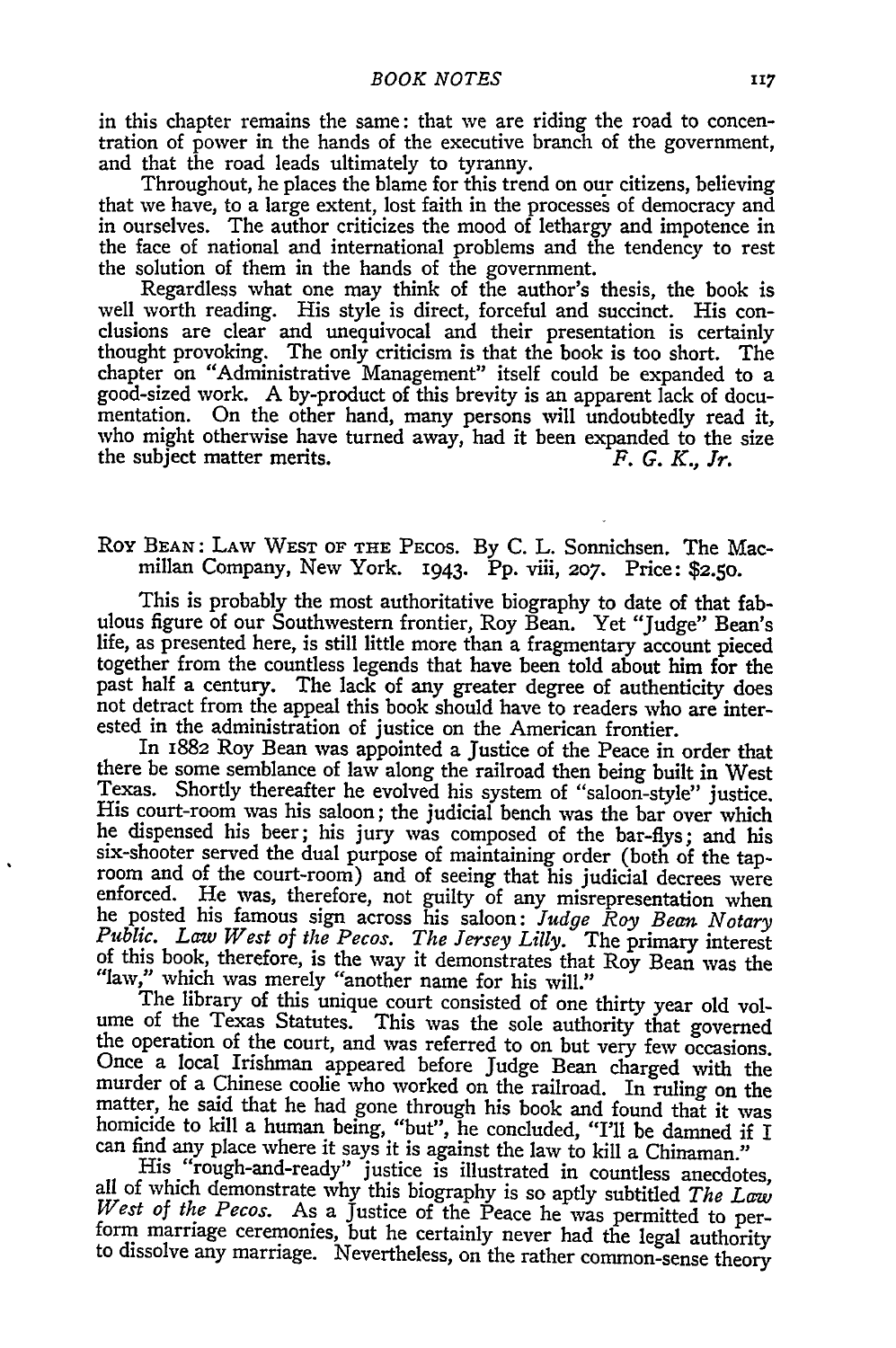in this chapter remains the same: that we are riding the road to concentration of power in the hands of the executive branch of the government, and that the road leads ultimately to tyranny.

Throughout, he places the blame for this trend on our citizens, believing that we have, to a large extent, lost faith in the processes of democracy and in ourselves. The author criticizes the mood of lethargy and impotence in the face of national and international problems and the tendency to rest the solution of them in the hands of the government.

Regardless what one may think of the author's thesis, the book is well worth reading. His style is direct, forceful and succinct. His conclusions are clear and unequivocal and their presentation is certainly thought provoking. The only criticism is that the book is too short. The chapter on "Administrative Management" itself could be expanded to a good-sized work. A by-product of this brevity is an apparent lack of documentation. On the other hand, many persons will undoubtedly read it, who might otherwise have turned away, had it been expanded to the size the subject matter merits. *F. G. K., Jr.*

# **Roy BEAN:** LAW WEST OF **THE** PEcos. By **C.** L. Sonnichsen. The Macmillan Company, New York. 1943. Pp. viii, *207.* Price: **\$2.50.**

This is probably the most authoritative biography to date of that fabulous figure of our Southwestern frontier, Roy Bean. Yet "Judge" Bean's life, as presented here, is still little more than a fragmentary account pieced together from the countless legends that have been told about him for the past half a century. The lack of any greater degree of authenticity does not detract from the appeal this book should have to readers who are interested in the administration of justice on the American frontier.

In 1882 Roy Bean was appointed a Justice of the Peace in order that there be some semblance of law along the railroad then being built in West Texas. Shortly thereafter he evolved his system of "saloon-style" justice. His court-room was his saloon; the judicial bench was the bar over which he dispensed his beer; his jury was composed of the bar-flys; and his six-shooter served the dual purpose of maintaining order (both of the taproom and of the court-room) and of seeing that his judicial decrees were enforced. He was, therefore, not guilty of any misrepresentation when he posted his famous sign across his saloon: *Judge Roy Bean Notary Public. Law West of the Pecos. The Jersey Lilly.* The primary interest of this book, therefore, is the way it demonstrates that Roy Bean was the "law," which was merely "another name for his will."

The library of this unique court consisted of one thirty year old volume of the Texas Statutes. This was the sole authority that governed the operation of the court, and was referred to on but very few occasions. Once a local Irishman appeared before Judge Bean charged with the murder of a Chinese coolie who worked on the railroad. In ruling on the matter, he said that he had gone through his book and found that it was homicide to kill a human being, "but", he concluded, "I'll be damned if I can find any place where it says it is against the law to kill a Chinaman."

His "rough-and-ready" justice is illustrated in countless anecdotes, all of which demonstrate why this biography is so aptly subtitled *The Law West of the Pecos.* As a Justice of the Peace he was permitted to per-form marriage ceremonies, but he certainly never had the legal authority to dissolve any marriage. Nevertheless, on the rather common-sense theory